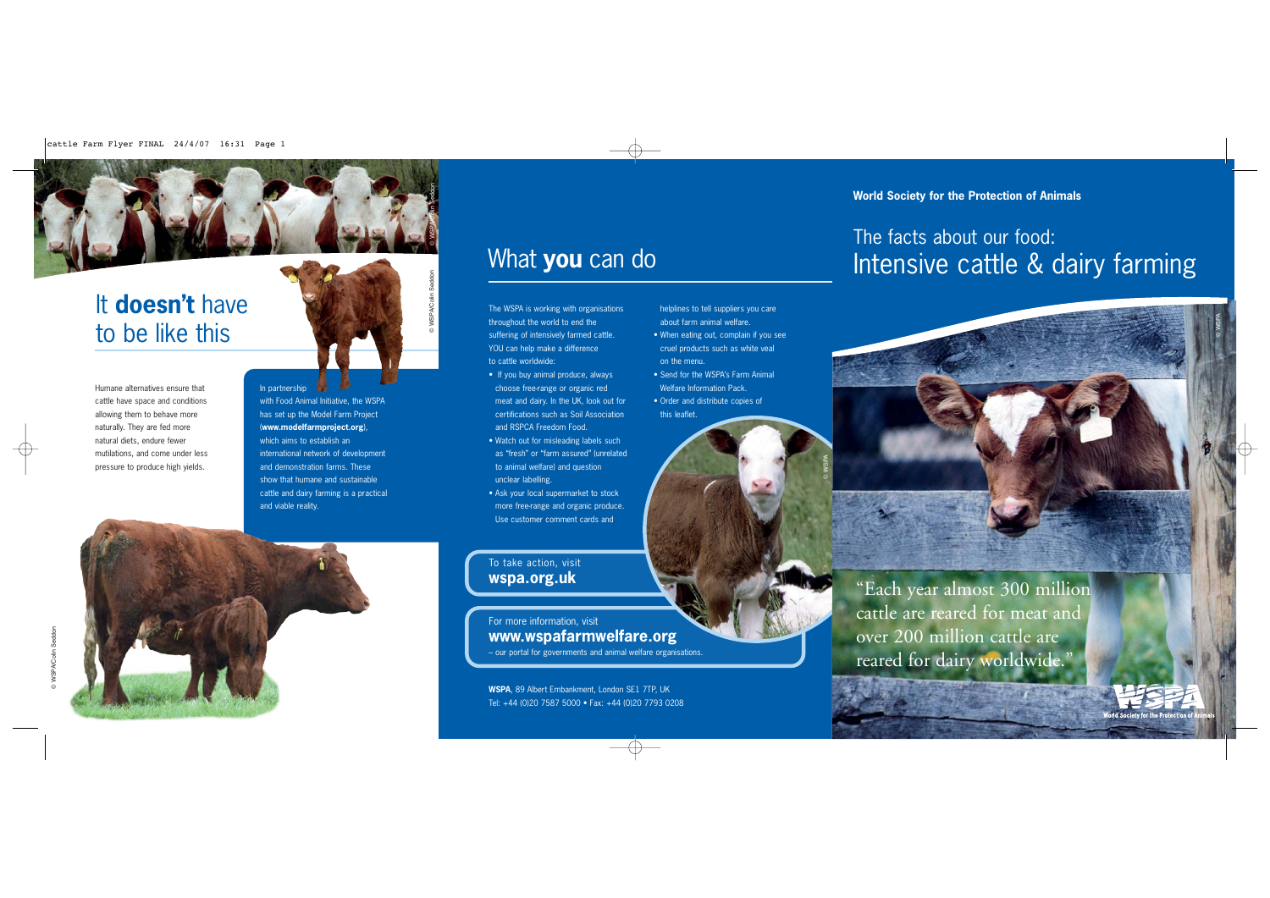# It **doesn't** have to be like this

Humane alternatives ensure that cattle have space and conditions allowing them to behave more naturally. They are fed more natural diets, endure fewer mutilations, and come under less pressure to produce high yields.

In partnership with Food Animal Initiative, the WSPA has set up the Model Farm Project (**www.modelfarmproject.org**), which aims to establish an international network of development and demonstration farms. These show that humane and sustainable cattle and dairy farming is a practical and viable reality.

## What **you** can do

© WSPA/Colin Seddon

© WSPA/Colin Seddon

helplines to tell suppliers you care about farm animal welfare. • When eating out, complain if you see cruel products such as white veal

• Send for the WSPA's Farm Animal Welfare Information Pack. • Order and distribute copies of

on the menu.

this leaflet.

The WSPA is working with organisations throughout the world to end the suffering of intensively farmed cattle. YOU can help make a difference to cattle worldwide:

- If you buy animal produce, always choose free-range or organic red meat and dairy. In the UK, look out for certifications such as Soil Association and RSPCA Freedom Food.
- Watch out for misleading labels such as "fresh" or "farm assured" (unrelated to animal welfare) and question unclear labelling.
- Ask your local supermarket to stock more free-range and organic produce. Use customer comment cards and

To take action, visit **wspa.org.uk**

For more information, visit **www.wspafarmwelfare.org** – our portal for governments and animal welfare organisations.

**WSPA**, 89 Albert Embankment, London SE1 7TP, UK Tel: +44 (0)20 7587 5000 • Fax: +44 (0)20 7793 0208 **World Society for the Protection of Animals**

## Intensive cattle & dairy farming The facts about our food:



"Each year almost 300 million cattle are reared for meat and over 200 million cattle are reared for dairy worldwide."